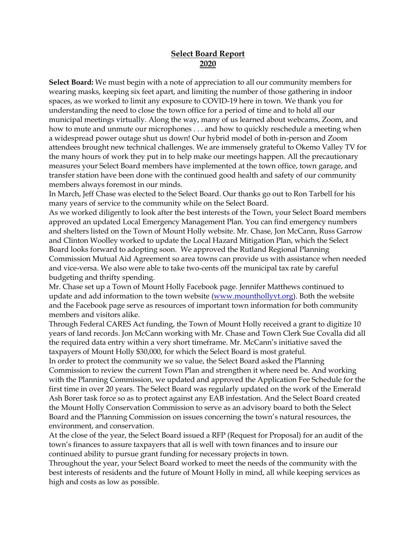## **Select Board Report 2020**

**Select Board:** We must begin with a note of appreciation to all our community members for wearing masks, keeping six feet apart, and limiting the number of those gathering in indoor spaces, as we worked to limit any exposure to COVID-19 here in town. We thank you for understanding the need to close the town office for a period of time and to hold all our municipal meetings virtually. Along the way, many of us learned about webcams, Zoom, and how to mute and unmute our microphones . . . and how to quickly reschedule a meeting when a widespread power outage shut us down! Our hybrid model of both in-person and Zoom attendees brought new technical challenges. We are immensely grateful to Okemo Valley TV for the many hours of work they put in to help make our meetings happen. All the precautionary measures your Select Board members have implemented at the town office, town garage, and transfer station have been done with the continued good health and safety of our community members always foremost in our minds.

In March, Jeff Chase was elected to the Select Board. Our thanks go out to Ron Tarbell for his many years of service to the community while on the Select Board.

As we worked diligently to look after the best interests of the Town, your Select Board members approved an updated Local Emergency Management Plan. You can find emergency numbers and shelters listed on the Town of Mount Holly website. Mr. Chase, Jon McCann, Russ Garrow and Clinton Woolley worked to update the Local Hazard Mitigation Plan, which the Select Board looks forward to adopting soon. We approved the Rutland Regional Planning Commission Mutual Aid Agreement so area towns can provide us with assistance when needed and vice-versa. We also were able to take two-cents off the municipal tax rate by careful budgeting and thrifty spending.

Mr. Chase set up a Town of Mount Holly Facebook page. Jennifer Matthews continued to update and add information to the town website [\(www.mounthollyvt.org\)](about:blank). Both the website and the Facebook page serve as resources of important town information for both community members and visitors alike.

Through Federal CARES Act funding, the Town of Mount Holly received a grant to digitize 10 years of land records. Jon McCann working with Mr. Chase and Town Clerk Sue Covalla did all the required data entry within a very short timeframe. Mr. McCann's initiative saved the taxpayers of Mount Holly \$30,000, for which the Select Board is most grateful.

In order to protect the community we so value, the Select Board asked the Planning Commission to review the current Town Plan and strengthen it where need be. And working with the Planning Commission, we updated and approved the Application Fee Schedule for the first time in over 20 years. The Select Board was regularly updated on the work of the Emerald Ash Borer task force so as to protect against any EAB infestation. And the Select Board created the Mount Holly Conservation Commission to serve as an advisory board to both the Select Board and the Planning Commission on issues concerning the town's natural resources, the environment, and conservation.

At the close of the year, the Select Board issued a RFP (Request for Proposal) for an audit of the town's finances to assure taxpayers that all is well with town finances and to insure our continued ability to pursue grant funding for necessary projects in town.

Throughout the year, your Select Board worked to meet the needs of the community with the best interests of residents and the future of Mount Holly in mind, all while keeping services as high and costs as low as possible.